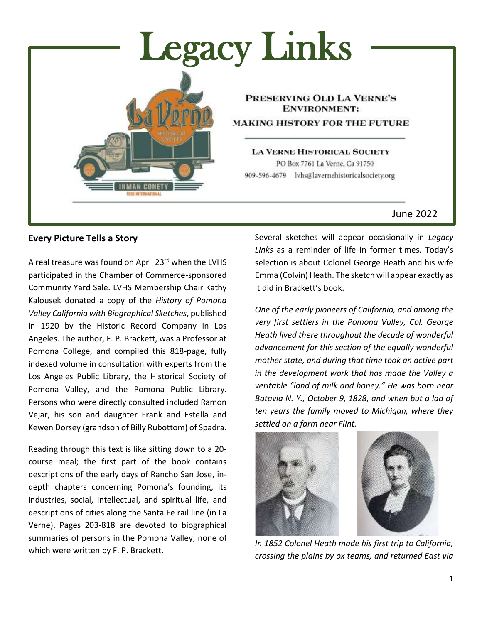

# **Every Picture Tells a Story**

A real treasure was found on April 23rd when the LVHS participated in the Chamber of Commerce-sponsored Community Yard Sale. LVHS Membership Chair Kathy Kalousek donated a copy of the *History of Pomona Valley California with Biographical Sketches*, published in 1920 by the Historic Record Company in Los Angeles. The author, F. P. Brackett, was a Professor at Pomona College, and compiled this 818-page, fully indexed volume in consultation with experts from the Los Angeles Public Library, the Historical Society of Pomona Valley, and the Pomona Public Library. Persons who were directly consulted included Ramon Vejar, his son and daughter Frank and Estella and Kewen Dorsey (grandson of Billy Rubottom) of Spadra.

Reading through this text is like sitting down to a 20 course meal; the first part of the book contains descriptions of the early days of Rancho San Jose, indepth chapters concerning Pomona's founding, its industries, social, intellectual, and spiritual life, and descriptions of cities along the Santa Fe rail line (in La Verne). Pages 203-818 are devoted to biographical summaries of persons in the Pomona Valley, none of which were written by F. P. Brackett.

Several sketches will appear occasionally in *Legacy Links* as a reminder of life in former times. Today's selection is about Colonel George Heath and his wife Emma (Colvin) Heath. The sketch will appear exactly as it did in Brackett's book.

*One of the early pioneers of California, and among the very first settlers in the Pomona Valley, Col. George Heath lived there throughout the decade of wonderful advancement for this section of the equally wonderful mother state, and during that time took an active part in the development work that has made the Valley a veritable "land of milk and honey." He was born near Batavia N. Y., October 9, 1828, and when but a lad of ten years the family moved to Michigan, where they settled on a farm near Flint.*



*In 1852 Colonel Heath made his first trip to California, crossing the plains by ox teams, and returned East via*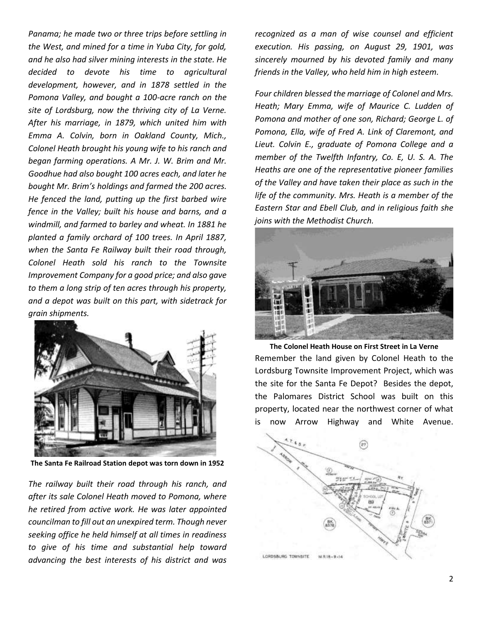*Panama; he made two or three trips before settling in the West, and mined for a time in Yuba City, for gold, and he also had silver mining interests in the state. He decided to devote his time to agricultural development, however, and in 1878 settled in the Pomona Valley, and bought a 100-acre ranch on the site of Lordsburg, now the thriving city of La Verne. After his marriage, in 1879, which united him with Emma A. Colvin, born in Oakland County, Mich., Colonel Heath brought his young wife to his ranch and began farming operations. A Mr. J. W. Brim and Mr. Goodhue had also bought 100 acres each, and later he bought Mr. Brim's holdings and farmed the 200 acres. He fenced the land, putting up the first barbed wire fence in the Valley; built his house and barns, and a windmill, and farmed to barley and wheat. In 1881 he planted a family orchard of 100 trees. In April 1887, when the Santa Fe Railway built their road through, Colonel Heath sold his ranch to the Townsite Improvement Company for a good price; and also gave to them a long strip of ten acres through his property, and a depot was built on this part, with sidetrack for grain shipments.*



**The Santa Fe Railroad Station depot was torn down in 1952**

*The railway built their road through his ranch, and after its sale Colonel Heath moved to Pomona, where he retired from active work. He was later appointed councilman to fill out an unexpired term. Though never seeking office he held himself at all times in readiness to give of his time and substantial help toward advancing the best interests of his district and was* 

*recognized as a man of wise counsel and efficient execution. His passing, on August 29, 1901, was sincerely mourned by his devoted family and many friends in the Valley, who held him in high esteem.*

*Four children blessed the marriage of Colonel and Mrs. Heath; Mary Emma, wife of Maurice C. Ludden of Pomona and mother of one son, Richard; George L. of Pomona, Ella, wife of Fred A. Link of Claremont, and Lieut. Colvin E., graduate of Pomona College and a member of the Twelfth Infantry, Co. E, U. S. A. The Heaths are one of the representative pioneer families of the Valley and have taken their place as such in the life of the community. Mrs. Heath is a member of the Eastern Star and Ebell Club, and in religious faith she joins with the Methodist Church.*



**The Colonel Heath House on First Street in La Verne** Remember the land given by Colonel Heath to the Lordsburg Townsite Improvement Project, which was the site for the Santa Fe Depot? Besides the depot, the Palomares District School was built on this property, located near the northwest corner of what is now Arrow Highway and White Avenue.

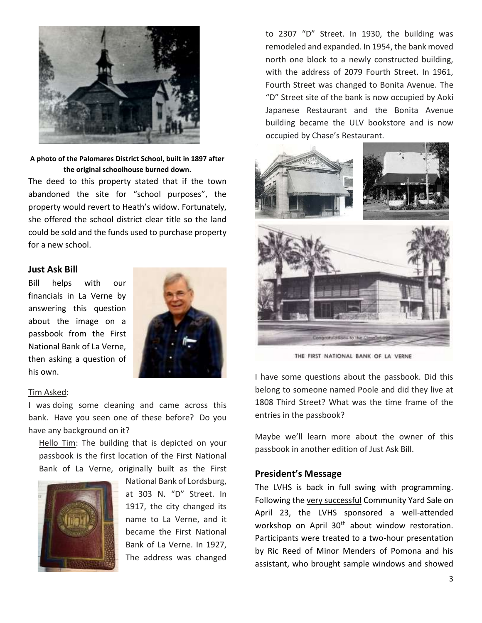

**A photo of the Palomares District School, built in 1897 after the original schoolhouse burned down.**

The deed to this property stated that if the town abandoned the site for "school purposes", the property would revert to Heath's widow. Fortunately, she offered the school district clear title so the land could be sold and the funds used to purchase property for a new school.

#### **Just Ask Bill**

Bill helps with our financials in La Verne by answering this question about the image on a passbook from the First National Bank of La Verne, then asking a question of his own.



#### Tim Asked:

I was doing some cleaning and came across this bank. Have you seen one of these before? Do you have any background on it?

Hello Tim: The building that is depicted on your passbook is the first location of the First National Bank of La Verne, originally built as the First



National Bank of Lordsburg, at 303 N. "D" Street. In 1917, the city changed its name to La Verne, and it became the First National Bank of La Verne. In 1927, The address was changed

to 2307 "D" Street. In 1930, the building was remodeled and expanded. In 1954, the bank moved north one block to a newly constructed building, with the address of 2079 Fourth Street. In 1961, Fourth Street was changed to Bonita Avenue. The "D" Street site of the bank is now occupied by Aoki Japanese Restaurant and the Bonita Avenue building became the ULV bookstore and is now occupied by Chase's Restaurant.



THE FIRST NATIONAL BANK OF LA VERNE

I have some questions about the passbook. Did this belong to someone named Poole and did they live at 1808 Third Street? What was the time frame of the entries in the passbook?

Maybe we'll learn more about the owner of this passbook in another edition of Just Ask Bill.

#### **President's Message**

The LVHS is back in full swing with programming. Following the very successful Community Yard Sale on April 23, the LVHS sponsored a well-attended workshop on April 30<sup>th</sup> about window restoration. Participants were treated to a two-hour presentation by Ric Reed of Minor Menders of Pomona and his assistant, who brought sample windows and showed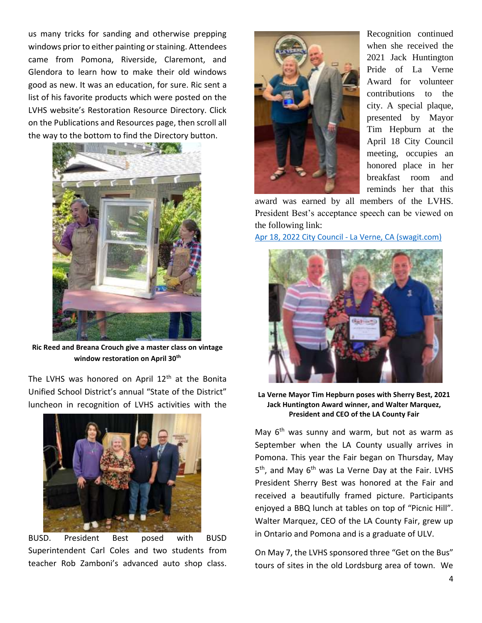us many tricks for sanding and otherwise prepping windows prior to either painting or staining. Attendees came from Pomona, Riverside, Claremont, and Glendora to learn how to make their old windows good as new. It was an education, for sure. Ric sent a list of his favorite products which were posted on the LVHS website's Restoration Resource Directory. Click on the Publications and Resources page, then scroll all the way to the bottom to find the Directory button.



**Ric Reed and Breana Crouch give a master class on vintage window restoration on April 30th**

The LVHS was honored on April  $12<sup>th</sup>$  at the Bonita Unified School District's annual "State of the District" luncheon in recognition of LVHS activities with the



BUSD. President Best posed with BUSD Superintendent Carl Coles and two students from teacher Rob Zamboni's advanced auto shop class.



Recognition continued when she received the 2021 Jack Huntington Pride of La Verne Award for volunteer contributions to the city. A special plaque, presented by Mayor Tim Hepburn at the April 18 City Council meeting, occupies an honored place in her breakfast room and reminds her that this

award was earned by all members of the LVHS. President Best's acceptance speech can be viewed on the following link:

[Apr 18, 2022 City Council -](https://laverneca.new.swagit.com/videos/167591) La Verne, CA (swagit.com)



**La Verne Mayor Tim Hepburn poses with Sherry Best, 2021 Jack Huntington Award winner, and Walter Marquez, President and CEO of the LA County Fair**

May  $6<sup>th</sup>$  was sunny and warm, but not as warm as September when the LA County usually arrives in Pomona. This year the Fair began on Thursday, May 5<sup>th</sup>, and May 6<sup>th</sup> was La Verne Day at the Fair. LVHS President Sherry Best was honored at the Fair and received a beautifully framed picture. Participants enjoyed a BBQ lunch at tables on top of "Picnic Hill". Walter Marquez, CEO of the LA County Fair, grew up in Ontario and Pomona and is a graduate of ULV.

On May 7, the LVHS sponsored three "Get on the Bus" tours of sites in the old Lordsburg area of town. We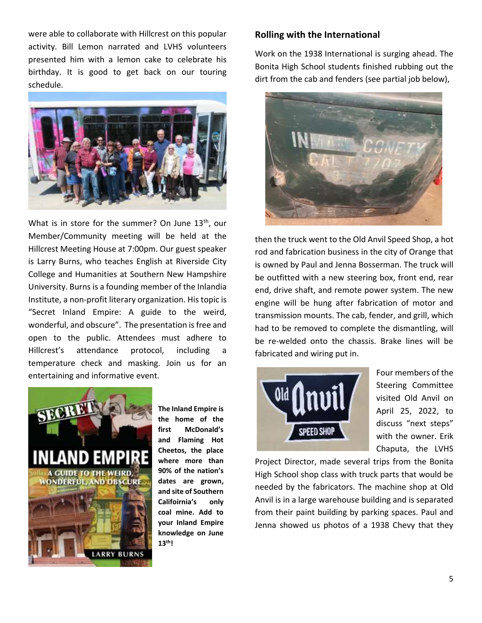were able to collaborate with Hillcrest on this popular activity. Bill Lemon narrated and LVHS volunteers presented him with a lemon cake to celebrate his birthday. It is good to get back on our touring schedule.



What is in store for the summer? On June 13<sup>th</sup>, our Member/Community meeting will be held at the Hillcrest Meeting House at 7:00pm. Our guest speaker is Larry Burns, who teaches English at Riverside City College and Humanities at Southern New Hampshire University. Burns is a founding member of the Inlandia Institute, a non-profit literary organization. His topic is "Secret Inland Empire: A guide to the weird, wonderful, and obscure". The presentation is free and open to the public. Attendees must adhere to Hillcrest's attendance protocol, including a temperature check and masking. Join us for an entertaining and informative event.



**The Inland Empire is the home of the first McDonald's and Flaming Hot Cheetos, the place where more than 90% of the nation's dates are grown, and site of Southern Califoirnia's only coal mine. Add to your Inland Empire knowledge on June 13th!**

## **Rolling with the International**

Work on the 1938 International is surging ahead. The Bonita High School students finished rubbing out the dirt from the cab and fenders (see partial job below),



then the truck went to the Old Anvil Speed Shop, a hot rod and fabrication business in the city of Orange that is owned by Paul and Jenna Bosserman. The truck will be outfitted with a new steering box, front end, rear end, drive shaft, and remote power system. The new engine will be hung after fabrication of motor and transmission mounts. The cab, fender, and grill, which had to be removed to complete the dismantling, will be re-welded onto the chassis. Brake lines will be fabricated and wiring put in.



Four members of the Steering Committee visited Old Anvil on April 25, 2022, to discuss "next steps" with the owner. Erik Chaputa, the LVHS

Project Director, made several trips from the Bonita High School shop class with truck parts that would be needed by the fabricators. The machine shop at Old Anvil is in a large warehouse building and is separated from their paint building by parking spaces. Paul and Jenna showed us photos of a 1938 Chevy that they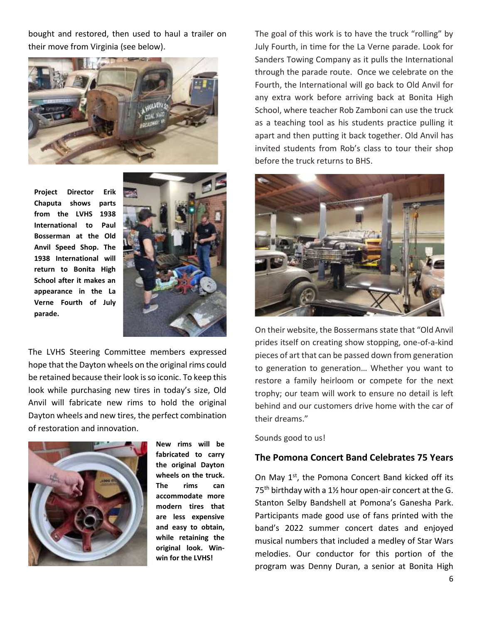bought and restored, then used to haul a trailer on their move from Virginia (see below).



**Project Director Erik Chaputa shows parts from the LVHS 1938 International to Paul Bosserman at the Old Anvil Speed Shop. The 1938 International will return to Bonita High School after it makes an appearance in the La Verne Fourth of July parade.**



The LVHS Steering Committee members expressed hope that the Dayton wheels on the original rims could be retained because their look is so iconic. To keep this look while purchasing new tires in today's size, Old Anvil will fabricate new rims to hold the original Dayton wheels and new tires, the perfect combination of restoration and innovation.



**New rims will be fabricated to carry the original Dayton wheels on the truck. The rims can accommodate more modern tires that are less expensive and easy to obtain, while retaining the original look. Winwin for the LVHS!**

The goal of this work is to have the truck "rolling" by July Fourth, in time for the La Verne parade. Look for Sanders Towing Company as it pulls the International through the parade route. Once we celebrate on the Fourth, the International will go back to Old Anvil for any extra work before arriving back at Bonita High School, where teacher Rob Zamboni can use the truck as a teaching tool as his students practice pulling it apart and then putting it back together. Old Anvil has invited students from Rob's class to tour their shop before the truck returns to BHS.



On their website, the Bossermans state that "Old Anvil prides itself on creating show stopping, one-of-a-kind pieces of art that can be passed down from generation to generation to generation… Whether you want to restore a family heirloom or compete for the next trophy; our team will work to ensure no detail is left behind and our customers drive home with the car of their dreams."

Sounds good to us!

## **The Pomona Concert Band Celebrates 75 Years**

On May 1<sup>st</sup>, the Pomona Concert Band kicked off its 75<sup>th</sup> birthday with a 1<sup>1</sup>/<sub>2</sub> hour open-air concert at the G. Stanton Selby Bandshell at Pomona's Ganesha Park. Participants made good use of fans printed with the band's 2022 summer concert dates and enjoyed musical numbers that included a medley of Star Wars melodies. Our conductor for this portion of the program was Denny Duran, a senior at Bonita High